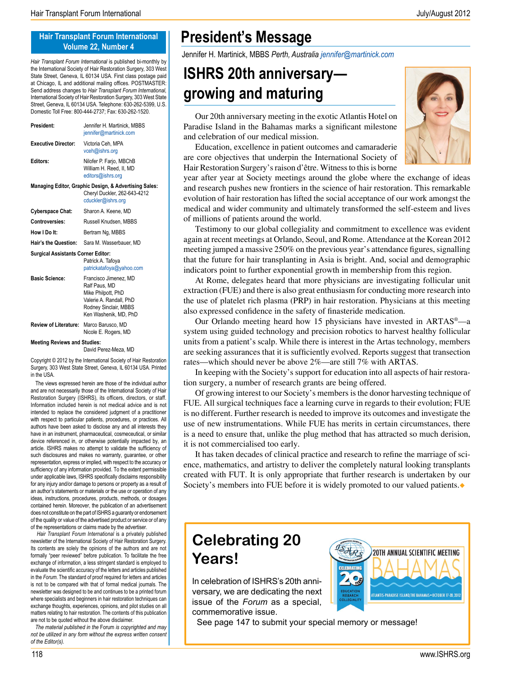#### **Hair Transplant Forum International Volume 22, Number 4**

*Hair Transplant Forum International* is published bi-monthly by the International Society of Hair Restoration Surgery, 303 West State Street, Geneva, IL 60134 USA. First class postage paid at Chicago, IL and additional mailing offices. POSTMASTER: Send address changes to *Hair Transplant Forum International,* International Society of Hair Restoration Surgery, 303 West State Street, Geneva, IL 60134 USA. Telephone: 630-262-5399, U.S. Domestic Toll Free: 800-444-2737; Fax: 630-262-1520.

| President:                         | Jennifer H. Martinick, MBBS<br>jennifer@martinick.com                                                                                     |
|------------------------------------|-------------------------------------------------------------------------------------------------------------------------------------------|
| <b>Executive Director:</b>         | Victoria Ceh, MPA<br>vceh@ishrs.org                                                                                                       |
| <b>Editors:</b>                    | Nilofer P. Farjo, MBChB<br>William H. Reed, II, MD<br>editors@ishrs.org                                                                   |
|                                    | Managing Editor, Graphic Design, & Advertising Sales:<br>Cheryl Duckler, 262-643-4212<br>cduckler@ishrs.org                               |
| <b>Cyberspace Chat:</b>            | Sharon A. Keene, MD                                                                                                                       |
| Controversies:                     | Russell Knudsen, MBBS                                                                                                                     |
| How I Do It:                       | Bertram Ng, MBBS                                                                                                                          |
| Hair's the Question:               | Sara M. Wasserbauer, MD                                                                                                                   |
| Surgical Assistants Corner Editor: | Patrick A. Tafoya<br>patrickatafoya@yahoo.com                                                                                             |
| <b>Basic Science:</b>              | Francisco Jimenez, MD<br>Ralf Paus, MD<br>Mike Philpott, PhD<br>Valerie A. Randall, PhD<br>Rodney Sinclair, MBBS<br>Ken Washenik, MD, PhD |
| Review of Literature:              | Marco Barusco. MD<br>Nicole E. Rogers, MD                                                                                                 |

**Meeting Reviews and Studies:**

David Perez-Meza, MD

Copyright © 2012 by the International Society of Hair Restoration Surgery, 303 West State Street, Geneva, IL 60134 USA. Printed in the USA.

 The views expressed herein are those of the individual author and are not necessarily those of the International Society of Hair Restoration Surgery (ISHRS), its officers, directors, or staff. Information included herein is not medical advice and is not intended to replace the considered judgment of a practitioner with respect to particular patients, procedures, or practices. All authors have been asked to disclose any and all interests they have in an instrument, pharmaceutical, cosmeceutical, or similar device referenced in, or otherwise potentially impacted by, an article. ISHRS makes no attempt to validate the sufficiency of such disclosures and makes no warranty, guarantee, or other representation, express or implied, with respect to the accuracy or sufficiency of any information provided. To the extent permissible under applicable laws, ISHRS specifically disclaims responsibility for any injury and/or damage to persons or property as a result of an author's statements or materials or the use or operation of any ideas, instructions, procedures, products, methods, or dosages contained herein. Moreover, the publication of an advertisement does not constitute on the part of ISHRS a guaranty or endorsement of the quality or value of the advertised product or service or of any of the representations or claims made by the advertiser.

 *Hair Transplant Forum International* is a privately published newsletter of the International Society of Hair Restoration Surgery. Its contents are solely the opinions of the authors and are not formally "peer reviewed" before publication. To facilitate the free exchange of information, a less stringent standard is employed to evaluate the scientific accuracy of the letters and articles published in the *Forum.* The standard of proof required for letters and articles is not to be compared with that of formal medical journals. The newsletter was designed to be and continues to be a printed forum where specialists and beginners in hair restoration techniques can exchange thoughts, experiences, opinions, and pilot studies on all matters relating to hair restoration. The contents of this publication are not to be quoted without the above disclaimer.

 *The material published in the* Forum *is copyrighted and may not be utilized in any form without the express written consent of the Editor(s).*

### **President's Message**

Jennifer H. Martinick, MBBS *Perth, Australia jennifer@martinick.com*

## **ISHRS 20th anniversary growing and maturing**

Our 20th anniversary meeting in the exotic Atlantis Hotel on Paradise Island in the Bahamas marks a significant milestone and celebration of our medical mission.

Education, excellence in patient outcomes and camaraderie are core objectives that underpin the International Society of Hair Restoration Surgery's raison d'être. Witness to this is borne



year after year at Society meetings around the globe where the exchange of ideas and research pushes new frontiers in the science of hair restoration. This remarkable evolution of hair restoration has lifted the social acceptance of our work amongst the medical and wider community and ultimately transformed the self-esteem and lives of millions of patients around the world.

Testimony to our global collegiality and commitment to excellence was evident again at recent meetings at Orlando, Seoul, and Rome. Attendance at the Korean 2012 meeting jumped a massive 250% on the previous year's attendance figures, signalling that the future for hair transplanting in Asia is bright. And, social and demographic indicators point to further exponential growth in membership from this region.

At Rome, delegates heard that more physicians are investigating follicular unit extraction (FUE) and there is also great enthusiasm for conducting more research into the use of platelet rich plasma (PRP) in hair restoration. Physicians at this meeting also expressed confidence in the safety of finasteride medication.

Our Orlando meeting heard how 15 physicians have invested in ARTAS®—a system using guided technology and precision robotics to harvest healthy follicular units from a patient's scalp. While there is interest in the Artas technology, members are seeking assurances that it is sufficiently evolved. Reports suggest that transection rates—which should never be above 2%—are still 7% with ARTAS.

In keeping with the Society's support for education into all aspects of hair restoration surgery, a number of research grants are being offered.

Of growing interest to our Society's members is the donor harvesting technique of FUE. All surgical techniques face a learning curve in regards to their evolution; FUE is no different. Further research is needed to improve its outcomes and investigate the use of new instrumentations. While FUE has merits in certain circumstances, there is a need to ensure that, unlike the plug method that has attracted so much derision, it is not commercialised too early.

It has taken decades of clinical practice and research to refine the marriage of science, mathematics, and artistry to deliver the completely natural looking transplants created with FUT. It is only appropriate that further research is undertaken by our Society's members into FUE before it is widely promoted to our valued patients.

## **Celebrating 20 Years!**

In celebration of ISHRS's 20th anniversary, we are dedicating the next issue of the *Forum* as a special, commemorative issue.



See page 147 to submit your special memory or message!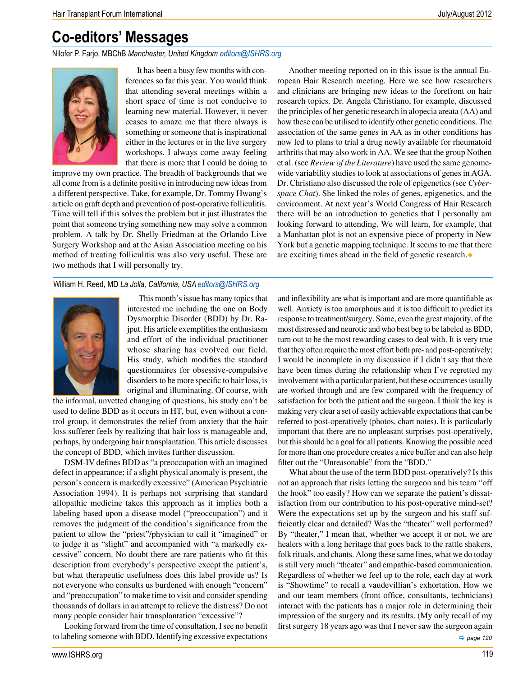## **Co-editors' Messages**

Nilofer P. Farjo, MBChB *Manchester, United Kingdom editors@ISHRS.org*



It has been a busy few months with conferences so far this year. You would think that attending several meetings within a short space of time is not conducive to learning new material. However, it never ceases to amaze me that there always is something or someone that is inspirational either in the lectures or in the live surgery workshops. I always come away feeling that there is more that I could be doing to

improve my own practice. The breadth of backgrounds that we all come from is a definite positive in introducing new ideas from a different perspective. Take, for example, Dr. Tommy Hwang's article on graft depth and prevention of post-operative folliculitis. Time will tell if this solves the problem but it just illustrates the point that someone trying something new may solve a common problem. A talk by Dr. Shelly Friedman at the Orlando Live Surgery Workshop and at the Asian Association meeting on his method of treating folliculitis was also very useful. These are two methods that I will personally try.

William H. Reed, MD *La Jolla, California, USA editors@ISHRS.org*



This month's issue has many topics that interested me including the one on Body Dysmorphic Disorder (BDD) by Dr. Rajput. His article exemplifies the enthusiasm and effort of the individual practitioner whose sharing has evolved our field. His study, which modifies the standard questionnaires for obsessive-compulsive disorders to be more specific to hair loss, is original and illuminating. Of course, with

the informal, unvetted changing of questions, his study can't be used to define BDD as it occurs in HT, but, even without a control group, it demonstrates the relief from anxiety that the hair loss sufferer feels by realizing that hair loss is manageable and, perhaps, by undergoing hair transplantation. This article discusses the concept of BDD, which invites further discussion.

DSM-IV defines BDD as "a preoccupation with an imagined defect in appearance; if a slight physical anomaly is present, the person's concern is markedly excessive" (American Psychiatric Association 1994). It is perhaps not surprising that standard allopathic medicine takes this approach as it implies both a labeling based upon a disease model ("preoccupation") and it removes the judgment of the condition's significance from the patient to allow the "priest"/physician to call it "imagined" or to judge it as "slight" and accompanied with "a markedly excessive" concern. No doubt there are rare patients who fit this description from everybody's perspective except the patient's, but what therapeutic usefulness does this label provide us? Is not everyone who consults us burdened with enough "concern" and "preoccupation" to make time to visit and consider spending thousands of dollars in an attempt to relieve the distress? Do not many people consider hair transplantation "excessive"?

Looking forward from the time of consultation, I see no benefit to labeling someone with BDD. Identifying excessive expectations

Another meeting reported on in this issue is the annual European Hair Research meeting. Here we see how researchers and clinicians are bringing new ideas to the forefront on hair research topics. Dr. Angela Christiano, for example, discussed the principles of her genetic research in alopecia areata (AA) and how these can be utilised to identify other genetic conditions. The association of the same genes in AA as in other conditions has now led to plans to trial a drug newly available for rheumatoid arthritis that may also work in AA. We see that the group Nothen et al. (see *Review of the Literature*) have used the same genomewide variability studies to look at associations of genes in AGA. Dr. Christiano also discussed the role of epigenetics (see *Cyberspace Chat*). She linked the roles of genes, epigenetics, and the environment. At next year's World Congress of Hair Research there will be an introduction to genetics that I personally am looking forward to attending. We will learn, for example, that a Manhattan plot is not an expensive piece of property in New York but a genetic mapping technique. It seems to me that there are exciting times ahead in the field of genetic research.

and inflexibility are what is important and are more quantifiable as well. Anxiety is too amorphous and it is too difficult to predict its response to treatment/surgery. Some, even the great majority, of the most distressed and neurotic and who best beg to be labeled as BDD, turn out to be the most rewarding cases to deal with. It is very true that they often require the most effort both pre- and post-operatively; I would be incomplete in my discussion if I didn't say that there have been times during the relationship when I've regretted my involvement with a particular patient, but these occurrences usually are worked through and are few compared with the frequency of satisfaction for both the patient and the surgeon. I think the key is making very clear a set of easily achievable expectations that can be referred to post-operatively (photos, chart notes). It is particularly important that there are no unpleasant surprises post-operatively, but this should be a goal for all patients. Knowing the possible need for more than one procedure creates a nice buffer and can also help filter out the "Unreasonable" from the "BDD."

 *page 120*  What about the use of the term BDD post-operatively? Is this not an approach that risks letting the surgeon and his team "off the hook" too easily? How can we separate the patient's dissatisfaction from our contribution to his post-operative mind-set? Were the expectations set up by the surgeon and his staff sufficiently clear and detailed? Was the "theater" well performed? By "theater," I mean that, whether we accept it or not, we are healers with a long heritage that goes back to the rattle shakers, folk rituals, and chants. Along these same lines, what we do today is still very much "theater" and empathic-based communication. Regardless of whether we feel up to the role, each day at work is "Showtime" to recall a vaudevillian's exhortation. How we and our team members (front office, consultants, technicians) interact with the patients has a major role in determining their impression of the surgery and its results. (My only recall of my first surgery 18 years ago was that I never saw the surgeon again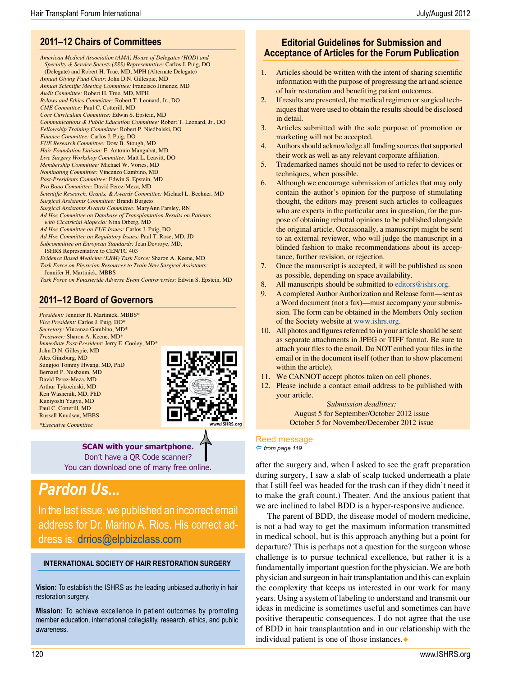### **2011–12 Chairs of Committees**

*American Medical Association (AMA) House of Delegates (HOD) and Specialty & Service Society (SSS) Representative:* Carlos J. Puig, DO (Delegate) and Robert H. True, MD, MPH (Alternate Delegate) *Annual Giving Fund Chair:* John D.N. Gillespie, MD *Annual Scientific Meeting Committee:* Francisco Jimenez, MD *Audit Committee:* Robert H. True, MD, MPH *Bylaws and Ethics Committee:* Robert T. Leonard, Jr., DO *CME Committee:* Paul C. Cotterill, MD *Core Curriculum Committee:* Edwin S. Epstein, MD *Communications & Public Education Committee:* Robert T. Leonard, Jr., DO *Fellowship Training Committee:* Robert P. Niedbalski, DO *Finance Committee:* Carlos J. Puig, DO *FUE Research Committee:* Dow B. Stough, MD *Hair Foundation Liaison:* E. Antonio Mangubat, MD *Live Surgery Workshop Committee:* Matt L. Leavitt, DO *Membership Committee:* Michael W. Vories, MD *Nominating Committee:* Vincenzo Gambino, MD *Past-Presidents Committee:* Edwin S. Epstein, MD *Pro Bono Committee:* David Perez-Meza, MD *Scientific Research, Grants, & Awards Committee:* Michael L. Beehner, MD *Surgical Assistants Committee:* Brandi Burgess *Surgical Assistants Awards Committee:* MaryAnn Parsley, RN *Ad Hoc Committee on Database of Transplantation Results on Patients with Cicatricial Alopecia:* Nina Otberg, MD *Ad Hoc Committee on FUE Issues:* Carlos J. Puig, DO *Ad Hoc Committee on Regulatory Issues:* Paul T. Rose, MD, JD *Subcommittee on European Standards:* Jean Devroye, MD, ISHRS Representative to CEN/TC 403 *Evidence Based Medicine (EBM) Task Force:* Sharon A. Keene, MD *Task Force on Physician Resources to Train New Surgical Assistants:*  Jennifer H. Martinick, MBBS *Task Force on Finasteride Adverse Event Controversies:* Edwin S. Epstein, MD

### **2011–12 Board of Governors**

*President:* Jennifer H. Martinick, MBBS\* *Vice President:* Carlos J. Puig, DO\* *Secretary:* Vincenzo Gambino, MD\* *Treasurer:* Sharon A. Keene, MD\* *Immediate Past-President:* Jerry E. Cooley, MD\* John D.N. Gillespie, MD Alex Ginzburg, MD Sungjoo Tommy Hwang, MD, PhD Bernard P. Nusbaum, MD David Perez-Meza, MD Arthur Tykocinski, MD Ken Washenik, MD, PhD Kuniyoshi Yagyu, MD Paul C. Cotterill, MD Russell Knudsen, MBBS



**SCAN with your smartphone.**  Don't have a QR Code scanner? You can download one of many free online.

## *Pardon Us...*

*\*Executive Committee*

In the last issue, we published an incorrect email address for Dr. Marino A. Rios. His correct address is: drrios@elpbizclass.com

#### **INTERNATIONAL SOCIETY OF HAIR RESTORATION SURGERY**

**Vision:** To establish the ISHRS as the leading unbiased authority in hair restoration surgery.

**Mission:** To achieve excellence in patient outcomes by promoting member education, international collegiality, research, ethics, and public awareness.

- 1. Articles should be written with the intent of sharing scientific information with the purpose of progressing the art and science of hair restoration and benefiting patient outcomes.
- 2. If results are presented, the medical regimen or surgical techniques that were used to obtain the results should be disclosed in detail.
- 3. Articles submitted with the sole purpose of promotion or marketing will not be accepted.
- 4. Authors should acknowledge all funding sources that supported their work as well as any relevant corporate affiliation.
- 5. Trademarked names should not be used to refer to devices or techniques, when possible.
- 6. Although we encourage submission of articles that may only contain the author's opinion for the purpose of stimulating thought, the editors may present such articles to colleagues who are experts in the particular area in question, for the purpose of obtaining rebuttal opinions to be published alongside the original article. Occasionally, a manuscript might be sent to an external reviewer, who will judge the manuscript in a blinded fashion to make recommendations about its acceptance, further revision, or rejection.
- 7. Once the manuscript is accepted, it will be published as soon as possible, depending on space availability.
- 8. All manuscripts should be submitted to editors@ishrs.org.
- 9. A completed Author Authorization and Release form—sent as a Word document (not a fax)—must accompany your submission. The form can be obtained in the Members Only section of the Society website at www.ishrs.org.
- 10. All photos and figures referred to in your article should be sent as separate attachments in JPEG or TIFF format. Be sure to attach your files to the email. Do NOT embed your files in the email or in the document itself (other than to show placement within the article).
- 11. We CANNOT accept photos taken on cell phones.
- 12. Please include a contact email address to be published with your article.

S*ubmission deadlines:* August 5 for September/October 2012 issue October 5 for November/December 2012 issue

#### Reed message

 *from page 119*

after the surgery and, when I asked to see the graft preparation during surgery, I saw a slab of scalp tucked underneath a plate that I still feel was headed for the trash can if they didn't need it to make the graft count.) Theater. And the anxious patient that we are inclined to label BDD is a hyper-responsive audience.

The parent of BDD, the disease model of modern medicine, is not a bad way to get the maximum information transmitted in medical school, but is this approach anything but a point for departure? This is perhaps not a question for the surgeon whose challenge is to pursue technical excellence, but rather it is a fundamentally important question for the physician. We are both physician and surgeon in hair transplantation and this can explain the complexity that keeps us interested in our work for many years. Using a system of labeling to understand and transmit our ideas in medicine is sometimes useful and sometimes can have positive therapeutic consequences. I do not agree that the use of BDD in hair transplantation and in our relationship with the individual patient is one of those instances.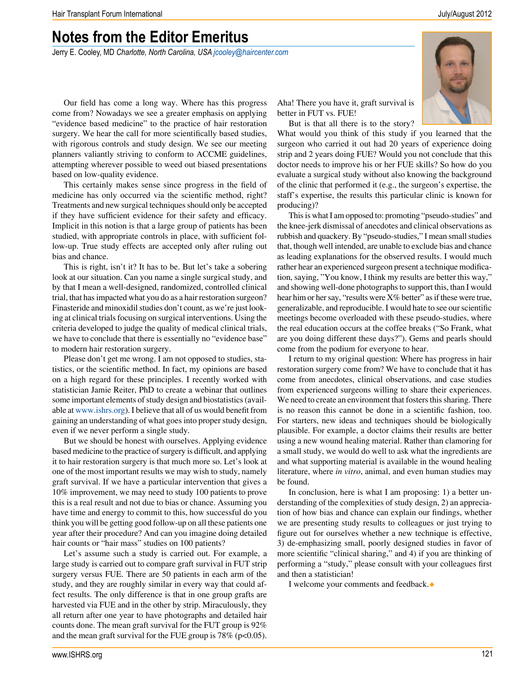### **Notes from the Editor Emeritus**

Jerry E. Cooley, MD *Charlotte, North Carolina, USA jcooley@haircenter.com*

Our field has come a long way. Where has this progress come from? Nowadays we see a greater emphasis on applying "evidence based medicine" to the practice of hair restoration surgery. We hear the call for more scientifically based studies, with rigorous controls and study design. We see our meeting planners valiantly striving to conform to ACCME guidelines, attempting wherever possible to weed out biased presentations based on low-quality evidence.

This certainly makes sense since progress in the field of medicine has only occurred via the scientific method, right? Treatments and new surgical techniques should only be accepted if they have sufficient evidence for their safety and efficacy. Implicit in this notion is that a large group of patients has been studied, with appropriate controls in place, with sufficient follow-up. True study effects are accepted only after ruling out bias and chance.

This is right, isn't it? It has to be. But let's take a sobering look at our situation. Can you name a single surgical study, and by that I mean a well-designed, randomized, controlled clinical trial, that has impacted what you do as a hair restoration surgeon? Finasteride and minoxidil studies don't count, as we're just looking at clinical trials focusing on surgical interventions. Using the criteria developed to judge the quality of medical clinical trials, we have to conclude that there is essentially no "evidence base" to modern hair restoration surgery.

Please don't get me wrong. I am not opposed to studies, statistics, or the scientific method. In fact, my opinions are based on a high regard for these principles. I recently worked with statistician Jamie Reiter, PhD to create a webinar that outlines some important elements of study design and biostatistics (available at www.ishrs.org). I believe that all of us would benefit from gaining an understanding of what goes into proper study design, even if we never perform a single study.

But we should be honest with ourselves. Applying evidence based medicine to the practice of surgery is difficult, and applying it to hair restoration surgery is that much more so. Let's look at one of the most important results we may wish to study, namely graft survival. If we have a particular intervention that gives a 10% improvement, we may need to study 100 patients to prove this is a real result and not due to bias or chance. Assuming you have time and energy to commit to this, how successful do you think you will be getting good follow-up on all these patients one year after their procedure? And can you imagine doing detailed hair counts or "hair mass" studies on 100 patients?

Let's assume such a study is carried out. For example, a large study is carried out to compare graft survival in FUT strip surgery versus FUE. There are 50 patients in each arm of the study, and they are roughly similar in every way that could affect results. The only difference is that in one group grafts are harvested via FUE and in the other by strip. Miraculously, they all return after one year to have photographs and detailed hair counts done. The mean graft survival for the FUT group is 92% and the mean graft survival for the FUE group is  $78\%$  (p<0.05).

Aha! There you have it, graft survival is better in FUT vs. FUE!

But is that all there is to the story?

What would you think of this study if you learned that the surgeon who carried it out had 20 years of experience doing strip and 2 years doing FUE? Would you not conclude that this doctor needs to improve his or her FUE skills? So how do you evaluate a surgical study without also knowing the background of the clinic that performed it (e.g., the surgeon's expertise, the staff's expertise, the results this particular clinic is known for producing)?

This is what I am opposed to: promoting "pseudo-studies" and the knee-jerk dismissal of anecdotes and clinical observations as rubbish and quackery. By "pseudo-studies," I mean small studies that, though well intended, are unable to exclude bias and chance as leading explanations for the observed results. I would much rather hear an experienced surgeon present a technique modification, saying, "You know, I think my results are better this way," and showing well-done photographs to support this, than I would hear him or her say, "results were X% better" as if these were true, generalizable, and reproducible. I would hate to see our scientific meetings become overloaded with these pseudo-studies, where the real education occurs at the coffee breaks ("So Frank, what are you doing different these days?"). Gems and pearls should come from the podium for everyone to hear.

I return to my original question: Where has progress in hair restoration surgery come from? We have to conclude that it has come from anecdotes, clinical observations, and case studies from experienced surgeons willing to share their experiences. We need to create an environment that fosters this sharing. There is no reason this cannot be done in a scientific fashion, too. For starters, new ideas and techniques should be biologically plausible. For example, a doctor claims their results are better using a new wound healing material. Rather than clamoring for a small study, we would do well to ask what the ingredients are and what supporting material is available in the wound healing literature, where *in vitro*, animal, and even human studies may be found.

In conclusion, here is what I am proposing: 1) a better understanding of the complexities of study design, 2) an appreciation of how bias and chance can explain our findings, whether we are presenting study results to colleagues or just trying to figure out for ourselves whether a new technique is effective, 3) de-emphasizing small, poorly designed studies in favor of more scientific "clinical sharing," and 4) if you are thinking of performing a "study," please consult with your colleagues first and then a statistician!

I welcome your comments and feedback.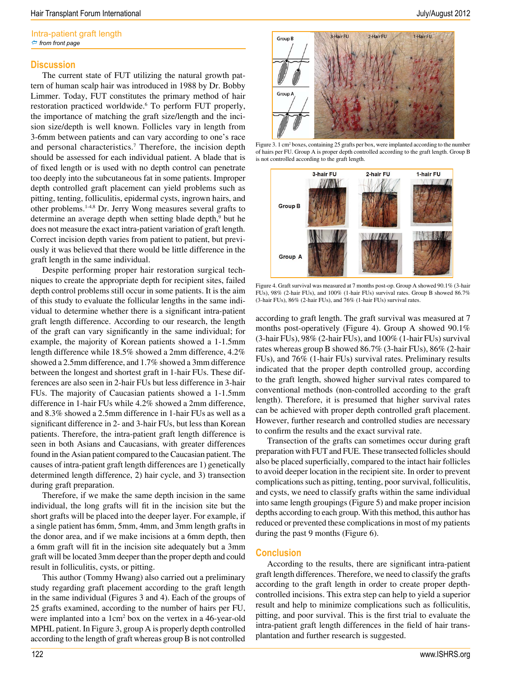#### **Discussion**

The current state of FUT utilizing the natural growth pattern of human scalp hair was introduced in 1988 by Dr. Bobby Limmer. Today, FUT constitutes the primary method of hair restoration practiced worldwide.<sup>6</sup> To perform FUT properly, the importance of matching the graft size/length and the incision size/depth is well known. Follicles vary in length from 3-6mm between patients and can vary according to one's race and personal characteristics.<sup>7</sup> Therefore, the incision depth should be assessed for each individual patient. A blade that is of fixed length or is used with no depth control can penetrate too deeply into the subcutaneous fat in some patients. Improper depth controlled graft placement can yield problems such as pitting, tenting, folliculitis, epidermal cysts, ingrown hairs, and other problems.1-4,8 Dr. Jerry Wong measures several grafts to determine an average depth when setting blade depth,<sup>9</sup> but he does not measure the exact intra-patient variation of graft length. Correct incision depth varies from patient to patient, but previously it was believed that there would be little difference in the graft length in the same individual.

Despite performing proper hair restoration surgical techniques to create the appropriate depth for recipient sites, failed depth control problems still occur in some patients. It is the aim of this study to evaluate the follicular lengths in the same individual to determine whether there is a significant intra-patient graft length difference. According to our research, the length of the graft can vary significantly in the same individual; for example, the majority of Korean patients showed a 1-1.5mm length difference while 18.5% showed a 2mm difference, 4.2% showed a 2.5mm difference, and 1.7% showed a 3mm difference between the longest and shortest graft in 1-hair FUs. These differences are also seen in 2-hair FUs but less difference in 3-hair FUs. The majority of Caucasian patients showed a 1-1.5mm difference in 1-hair FUs while 4.2% showed a 2mm difference, and 8.3% showed a 2.5mm difference in 1-hair FUs as well as a significant difference in 2- and 3-hair FUs, but less than Korean patients. Therefore, the intra-patient graft length difference is seen in both Asians and Caucasians, with greater differences found in the Asian patient compared to the Caucasian patient. The causes of intra-patient graft length differences are 1) genetically determined length difference, 2) hair cycle, and 3) transection during graft preparation.

Therefore, if we make the same depth incision in the same individual, the long grafts will fit in the incision site but the short grafts will be placed into the deeper layer. For example, if a single patient has 6mm, 5mm, 4mm, and 3mm length grafts in the donor area, and if we make incisions at a 6mm depth, then a 6mm graft will fit in the incision site adequately but a 3mm graft will be located 3mm deeper than the proper depth and could result in folliculitis, cysts, or pitting.

This author (Tommy Hwang) also carried out a preliminary study regarding graft placement according to the graft length in the same individual (Figures 3 and 4). Each of the groups of 25 grafts examined, according to the number of hairs per FU, were implanted into a 1cm<sup>2</sup> box on the vertex in a 46-year-old MPHL patient. In Figure 3, group A is properly depth controlled according to the length of graft whereas group B is not controlled



Figure 3. 1 cm<sup>2</sup> boxes, containing 25 grafts per box, were implanted according to the number of hairs per FU. Group A is proper depth controlled according to the graft length. Group B is not controlled according to the graft length.



Figure 4. Graft survival was measured at 7 months post-op. Group A showed 90.1% (3-hair FUs), 98% (2-hair FUs), and 100% (1-hair FUs) survival rates. Group B showed 86.7% (3-hair FUs), 86% (2-hair FUs), and 76% (1-hair FUs) survival rates.

according to graft length. The graft survival was measured at 7 months post-operatively (Figure 4). Group A showed 90.1% (3-hair FUs), 98% (2-hair FUs), and 100% (1-hair FUs) survival rates whereas group B showed 86.7% (3-hair FUs), 86% (2-hair FUs), and 76% (1-hair FUs) survival rates. Preliminary results indicated that the proper depth controlled group, according to the graft length, showed higher survival rates compared to conventional methods (non-controlled according to the graft length). Therefore, it is presumed that higher survival rates can be achieved with proper depth controlled graft placement. However, further research and controlled studies are necessary to confirm the results and the exact survival rate.

Transection of the grafts can sometimes occur during graft preparation with FUT and FUE. These transected follicles should also be placed superficially, compared to the intact hair follicles to avoid deeper location in the recipient site. In order to prevent complications such as pitting, tenting, poor survival, folliculitis, and cysts, we need to classify grafts within the same individual into same length groupings (Figure 5) and make proper incision depths according to each group. With this method, this author has reduced or prevented these complications in most of my patients during the past 9 months (Figure 6).

#### **Conclusion**

According to the results, there are significant intra-patient graft length differences. Therefore, we need to classify the grafts according to the graft length in order to create proper depthcontrolled incisions. This extra step can help to yield a superior result and help to minimize complications such as folliculitis, pitting, and poor survival. This is the first trial to evaluate the intra-patient graft length differences in the field of hair transplantation and further research is suggested.